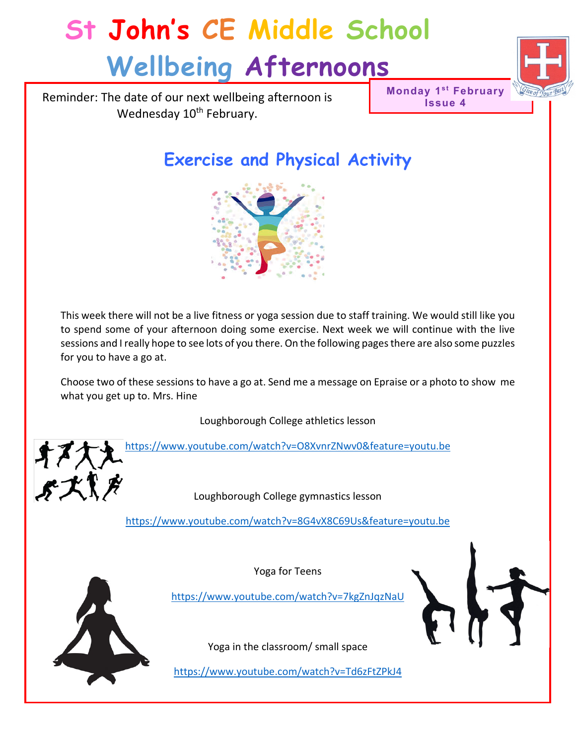Reminder: The date of our next wellbeing afternoon is Wednesday 10<sup>th</sup> February.

**Monday 1st February Issue 4**



## **Exercise and Physical Activity**



This week there will not be a live fitness or yoga session due to staff training. We would still like you to spend some of your afternoon doing some exercise. Next week we will continue with the live sessions and I really hope to see lots of you there. On the following pages there are also some puzzles for you to have a go at.

Choose two of these sessions to have a go at. Send me a message on Epraise or a photo to show me what you get up to. Mrs. Hine

Loughborough College athletics lesson

<https://www.youtube.com/watch?v=O8XvnrZNwv0&feature=youtu.be> オヌ大え<br>ぷズパメ

Loughborough College gymnastics lesson

<https://www.youtube.com/watch?v=8G4vX8C69Us&feature=youtu.be>

Yoga for Teens



<https://www.youtube.com/watch?v=7kgZnJqzNaU>

Yoga in the classroom/ small space

<https://www.youtube.com/watch?v=Td6zFtZPkJ4>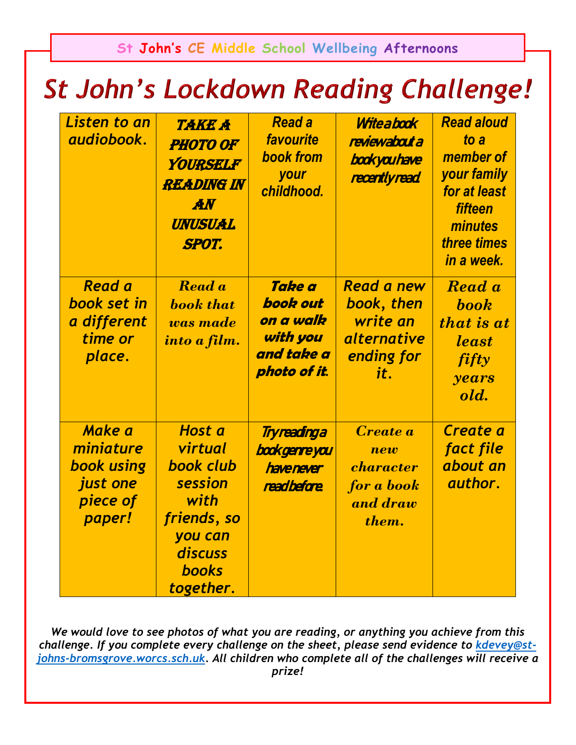## **St John's Lockdown Reading Challenge!**

| Listen to an<br>audiobook.                                                        | <b>TAKE A</b><br><b>PHOTO OF</b><br>YOURSELF<br><b>READING IN</b><br><b>AN</b><br><b>UNUSUAL</b><br><b>SPOT.</b>           | <b>Read a</b><br>favourite<br><b>book from</b><br>your<br>childhood.             | Witeabook<br>reviewabout a<br>bookyouhave<br>recentlyread                              | <b>Read aloud</b><br>to a<br>member of<br>your family<br>for at least<br><b>fifteen</b><br>minutes<br>three times<br>in a week. |
|-----------------------------------------------------------------------------------|----------------------------------------------------------------------------------------------------------------------------|----------------------------------------------------------------------------------|----------------------------------------------------------------------------------------|---------------------------------------------------------------------------------------------------------------------------------|
| <b>Read a</b><br>book set in<br>a different<br>time or<br>place.                  | Read a<br><b>book</b> that<br>was made<br>into a film.                                                                     | <b>Take a</b><br>book out<br>on a walk<br>with you<br>and take a<br>photo of it. | <b>Read a new</b><br>book, then<br>write an<br><i>alternative</i><br>ending for<br>it. | Read a<br><b>book</b><br>that is at<br><i>least</i><br><i>fifty</i><br>years<br>old.                                            |
| <b>Make a</b><br>miniature<br><b>book using</b><br>just one<br>piece of<br>paper! | <b>Host a</b><br>virtual<br>book club<br>session<br>with<br>friends, so<br>you can<br>discuss<br><b>books</b><br>together. | Tryreadinga<br><b>book genre you</b><br>havenever<br>readbefore                  | <i><b>Create a</b></i><br>new<br>character<br>for a book<br>and draw<br>them.          | Create a<br>fact file<br>about an<br>author.                                                                                    |

*We would love to see photos of what you are reading, or anything you achieve from this challenge. If you complete every challenge on the sheet, please send evidence to [kdevey@st](mailto:kdevey@st-johns-bromsgrove.worcs.sch.uk)[johns-bromsgrove.worcs.sch.uk.](mailto:kdevey@st-johns-bromsgrove.worcs.sch.uk) All children who complete all of the challenges will receive a prize!*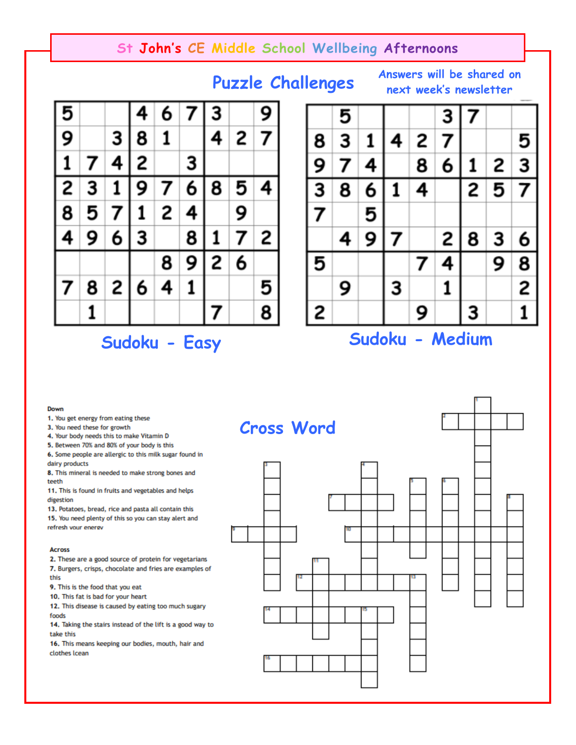## **Puzzle Challenges**

**Answers will be shared on next week's newsletter** 





**Sudoku - Easy Sudoku - Medium** 

#### Down

1. You get energy from eating these

3. You need these for growth

4. Your body needs this to make Vitamin D

5. Between 70% and 80% of your body is this

6. Some people are allergic to this milk sugar found in dairy products

8. This mineral is needed to make strong bones and teeth

11. This is found in fruits and vegetables and helps digestion

13. Potatoes, bread, rice and pasta all contain this 15. You need plenty of this so you can stay alert and refresh your energy

#### **Across**

2. These are a good source of protein for vegetarians 7. Burgers, crisps, chocolate and fries are examples of this

9. This is the food that you eat

10. This fat is bad for your heart

12. This disease is caused by eating too much sugary foods

14. Taking the stairs instead of the lift is a good way to take this

16. This means keeping our bodies, mouth, hair and clothes Icean

## **Cross Word**

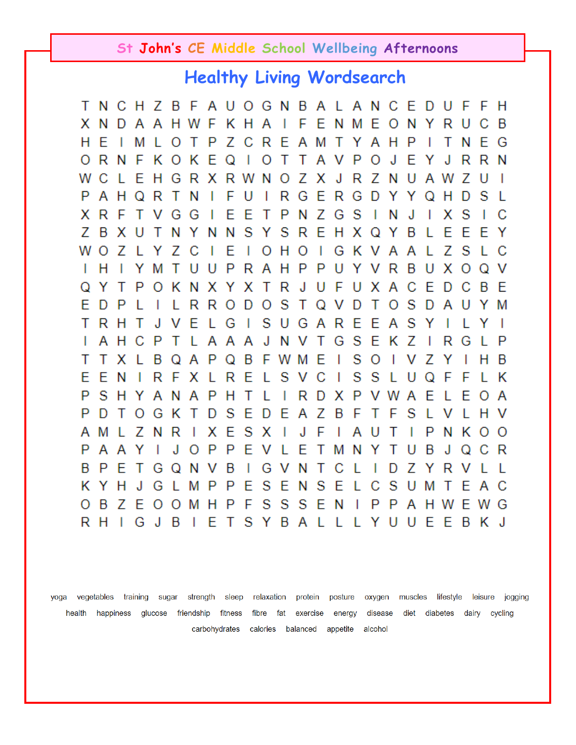## **Healthy Living Wordsearch**

TNCHZBFAUOGNBALANCE D F F Н U x N D A A H W F K H A  $\overline{\phantom{a}}$ **FENMEO** N Y R B С Ρ ZCRE A M T Y A H P H E м L. O T Τ N F G ı т Q R N F K. O K E.  $\mathbf{I}$ O Т Т A V P O J Е R R N 0 Y J Ζ Ζ С E H G R X R W N х J R N Ζ W 0 U A W U I L P A H Q R Τ N F U I R G E R G D H S Y Y Q D L Ζ R Ε Τ P N G S S x F Τ V G G E T Ν J I х С S 7 B S R E H X B Ε E E х U Т N Y N N Y Q <sup>Y</sup> L Υ W Ε  $\mathbf{I}$ H. O  $\mathbf{I}$ G K A Α Ζ S С O Ζ Ζ C O V. L L L Y н М Τ U U P R Α H P P U R B U х O Q V I. Y Y v Τ R Е P Κ N x Y х J U F -U X A С D С B E Y Τ 0 Q S E D P R R O D O T. Q V D Τ O s D Α M L L Y S S Т R Т J Ε L G  $\mathbf{I}$ U G A R Ε Ε Α Y H V L Y ı S N Τ G E Κ Z T Α H С P Τ L A A A J V R G L P L B F W M S Т Τ х В A P Q Е T O T v Ζ н в L Q Y I S Ε Ε N 1 R F х L R Ε L S V С T S L U Q F F L κ P P S H Τ T R P A Ε H A N A L D x V W Е A Y L O P D т  $\top$ D S Ε D Е Α Ζ B F Τ F S 0 G Κ L v L Н v Ε S J F P Α М Ζ N R х x ı ı Α U Τ N κ  $\circ$ O L ı P Ρ P Ε Α J O V Е Τ N Υ В Α Y L M Τ U J С R Q B P E B 1 G v N R Τ G Q N Τ С L I D Ζ Y L I. v S E κ Y н J G P P Ε N S Ε С S U E Α С L M L М Τ S S S B Ζ Е 0 0 M H P F Ε N  $\mathbf{I}$ P P A H W E. W G O R H I G J В  $\mathbf{I}$ E Т SYBAL L. L Y U U E E B K J

yoga vegetables training sugar strength sleep relaxation protein posture oxygen muscles lifestyle leisure jogging health happiness glucose friendship fitness fibre fat exercise energy disease diet diabetes dairy cycling carbohydrates calories balanced appetite alcohol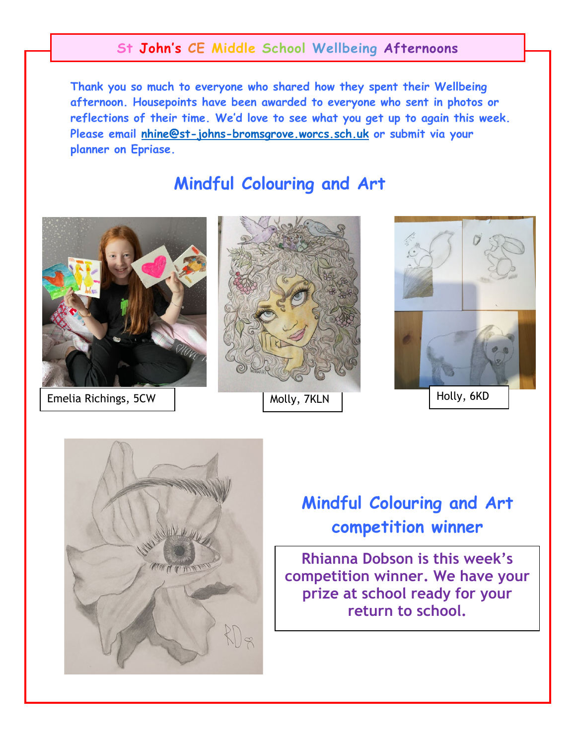**Thank you so much to everyone who shared how they spent their Wellbeing afternoon. Housepoints have been awarded to everyone who sent in photos or reflections of their time. We'd love to see what you get up to again this week. Please email nhine@st-johns-[bromsgrove.worcs.sch.uk](mailto:nhine@st-johns-bromsgrove.worcs.sch.uk) or submit via your planner on Epriase.**

## **Mindful Colouring and Art**



Emelia Richings, 5CW







## **Mindful Colouring and Art competition winner**

**Rhianna Dobson is this week's competition winner. We have your prize at school ready for your return to school.**